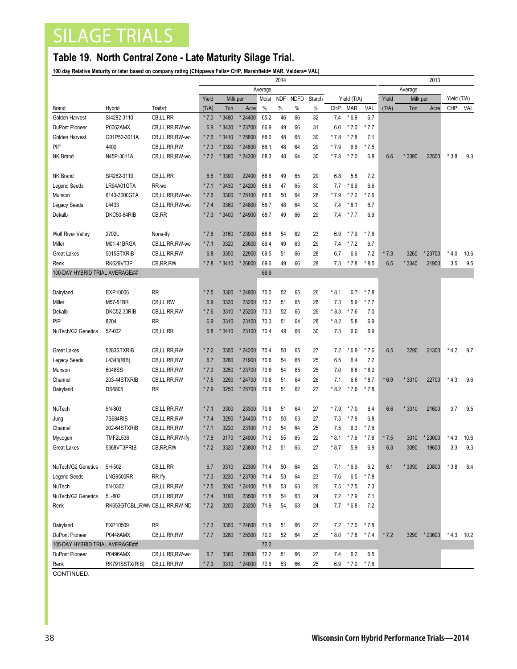## SILAGE TRIALS

## **Table 19. North Central Zone - Late Maturity Silage Trial.**

**100 day Relative Maturity or later based on company rating (Chippewa Falls= CHP, Marshfield= MAR, Valders= VAL)**

|                                |                 |                                 | 2014              |        |         |            |             |        |    |             |            |        |          | 2013   |             |        |      |  |  |
|--------------------------------|-----------------|---------------------------------|-------------------|--------|---------|------------|-------------|--------|----|-------------|------------|--------|----------|--------|-------------|--------|------|--|--|
|                                |                 |                                 | Average           |        |         |            |             |        |    |             |            |        | Average  |        |             |        |      |  |  |
|                                |                 |                                 | Yield<br>Milk per |        | Moist   | <b>NDF</b> | <b>NDFD</b> | Starch |    | Yield (T/A) |            | Yield  | Milk per |        | Yield (T/A) |        |      |  |  |
| Brand                          | Hybrid          | Traits†                         | (T/A)             | Ton    | Acre    | %          | $\%$        | %      | %  | <b>CHP</b>  | <b>MAR</b> | VAL    | (T/A)    | Ton    | Acre        | CHP    | VAL  |  |  |
| Golden Harvest                 | SI4282-3110     | CB,LL,RR                        | $*7.0$            | * 3480 | * 24400 | 65.2       | 46          | 66     | 32 | 7.4         | $*6.9$     | 6.7    |          |        |             |        |      |  |  |
| DuPont Pioneer                 | P0062AMX        | CB,LL,RR,RW-wo                  | 6.9               | * 3430 | * 23700 | 66.9       | 49          | 66     | 31 | 6.0         | $*7.0$     | $*7.7$ |          |        |             |        |      |  |  |
| Golden Harvest                 | G01P52-3011A    | CB,LL,RR,RW-wo                  | $*7.6$            | * 3410 | * 25800 | 68.0       | 48          | 65     | 30 | $*7.8$      | * 7.8      | 7.1    |          |        |             |        |      |  |  |
| PIP                            | 4400            | CB,LL,RR,RW                     | $*7.3$            | * 3390 | * 24800 | 68.1       | 48          | 64     | 29 | $*7.9$      | 6.6        | $*7.5$ |          |        |             |        |      |  |  |
| <b>NK Brand</b>                | N45P-3011A      | CB,LL,RR,RW-wo                  | $*7.2$            | * 3380 | * 24300 | 68.3       | 48          | 64     | 30 | $*7.8$      | $*7.0$     | 6.8    | 6.6      | * 3390 | 22500       | $*3.8$ | 9.3  |  |  |
| <b>NK Brand</b>                | SI4282-3110     | CB,LL,RR                        | 6.6               | * 3390 | 22400   | 68.6       | 49          | 65     | 29 | 6.8         | 5.8        | 7.2    |          |        |             |        |      |  |  |
| <b>Legend Seeds</b>            | LR94A01GTA      | RR-wo                           | $*7.1$            | * 3430 | * 24200 | 68.6       | 47          | 65     | 30 | 7.7         | $*6.9$     | 6.6    |          |        |             |        |      |  |  |
| Munson                         | 6143-3000GTA    | CB,LL,RR,RW-wo                  | $*7.6$            | 3300   | * 25100 | 68.6       | 50          | 64     | 28 | * 7.9       | * 7.2      | * 7.6  |          |        |             |        |      |  |  |
| <b>Legacy Seeds</b>            | L4433           | CB,LL,RR,RW-wo                  | $*7.4$            | 3360   | *24800  | 68.7       | 48          | 64     | 30 | 7.4         | $*8.1$     | 6.7    |          |        |             |        |      |  |  |
| Dekalb                         | DKC50-84RIB     | CB, RR                          | $*7.3$            | * 3400 | * 24900 | 68.7       | 49          | 66     | 29 | 7.4         | $*7.7$     | 6.9    |          |        |             |        |      |  |  |
|                                |                 |                                 |                   |        |         |            |             |        |    |             |            |        |          |        |             |        |      |  |  |
| <b>Wolf River Valley</b>       | 2702L           | None-Ify                        | $*7.6$            | 3160   | *23900  | 68.8       | 54          | 62     | 23 | 6.9         | $*7.9$     | * 7.8  |          |        |             |        |      |  |  |
| Miller                         | M01-41BRGA      | CB,LL,RR,RW-wo                  | $*7.1$            | 3320   | 23600   | 69.4       | 49          | 63     | 29 | 7.4         | $*7.2$     | 6.7    |          |        |             |        |      |  |  |
| <b>Great Lakes</b>             | 5015STXRIB      | CB,LL,RR,RW                     | 6.8               | 3350   | 22900   | 69.5       | 51          | 66     | 28 | 6.7         | 6.6        | 7.2    | $*7.3$   | 3260   | * 23700     | $*4.0$ | 10.6 |  |  |
| Renk                           | RK629VT3P       | CB, RR, RW                      | $*7.8$            | * 3410 | * 26800 | 69.6       | 49          | 66     | 28 | 7.3         | $*7.8$     | $*8.5$ | 6.5      | * 3340 | 21900       | 3.5    | 9.5  |  |  |
| 100-DAY HYBRID TRIAL AVERAGE## |                 |                                 |                   |        |         | 69.9       |             |        |    |             |            |        |          |        |             |        |      |  |  |
|                                |                 |                                 |                   |        |         |            |             |        |    |             |            |        |          |        |             |        |      |  |  |
| Dairyland                      | EXP10006        | <b>RR</b>                       | $*7.5$            | 3300   | * 24900 | 70.0       | 52          | 65     | 26 | $*8.1$      | 6.7        | $*7.8$ |          |        |             |        |      |  |  |
| Miller                         | M57-51BR        | CB,LL,RW                        | 6.9               | 3330   | 23200   | 70.2       | 51          | 65     | 28 | 7.3         | 5.9        | $*7.7$ |          |        |             |        |      |  |  |
| Dekalb                         | DKC52-30RIB     | CB,LL,RR,RW                     | $*7.6$            | 3310   | * 25200 | 70.3       | 52          | 65     | 26 | $*8.3$      | * 7.6      | 7.0    |          |        |             |        |      |  |  |
| PIP                            | 8204            | <b>RR</b>                       | 6.9               | 3310   | 23100   | 70.3       | 51          | 64     | 28 | $*8.2$      | 5.8        | 6.9    |          |        |             |        |      |  |  |
| NuTech/G2 Genetics             | 5Z-002          | CB, LL, RR                      | 6.8               | * 3410 | 23100   | 70.4       | 49          | 66     | 30 | 7.3         | 6.0        | 6.9    |          |        |             |        |      |  |  |
| <b>Great Lakes</b>             | 5283STXRIB      | CB, LL, RR, RW                  | $*7.2$            | 3350   | * 24200 | 70.4       | 50          | 65     | 27 | 7.2         | $*6.9$     | $*7.6$ | 6.5      | 3290   | 21300       | $*4.2$ | 8.7  |  |  |
| <b>Legacy Seeds</b>            | L4343(RIB)      | CB,LL,RR,RW                     | 6.7               | 3280   | 21900   | 70.6       | 54          | 66     | 25 | 6.5         | 6.4        | 7.2    |          |        |             |        |      |  |  |
| Munson                         | 6048SS          | CB,LL,RR,RW                     | $*7.3$            | 3250   | * 23700 | 70.6       | 54          | 65     | 25 | 7.0         | 6.6        | $*8.2$ |          |        |             |        |      |  |  |
| Channel                        | 203-44STXRIB    | CB,LL,RR,RW                     | $*7.5$            | 3290   | * 24700 | 70.6       | 51          | 64     | 26 | 7.1         | 6.6        | $*8.7$ | $*6.9$   | * 3310 | 22700       | $*4.3$ | 9.6  |  |  |
| Dairyland                      | <b>DS6805</b>   | <b>RR</b>                       | $*7.9$            | 3250   | * 25700 | 70.6       | 51          | 62     | 27 | $*8.2$      | $*7.6$     | * 7.8  |          |        |             |        |      |  |  |
|                                |                 |                                 |                   |        |         |            |             |        |    |             |            |        |          |        |             |        |      |  |  |
| NuTech                         | 5N-803          | CB,LL,RR,RW                     | $*7.1$            | 3300   | 23300   | 70.8       | 51          | 64     | 27 | * 7.9       | $*7.0$     | 6.4    | 6.6      | * 3310 | 21600       | 3.7    | 9.5  |  |  |
| Jung                           | 7S684RIB        | CB, LL, RR, RW                  | $*7.4$            | 3290   | * 24400 | 71.0       | 50          | 63     | 27 | 7.5         | $*7.9$     | 6.8    |          |        |             |        |      |  |  |
| Channel                        | 202-64STXRIB    | CB,LL,RR,RW                     | $*7.1$            | 3220   | 23100   | 71.2       | 54          | 64     | 25 | 7.5         | 6.3        | * 7.6  |          |        |             |        |      |  |  |
| Mycogen                        | <b>TMF2L538</b> | CB,LL,RR,RW-lfy                 | $*7.8$            | 3170   | * 24900 | 71.2       | 55          | 65     | 22 | $*8.1$      | * 7.6      | $*7.8$ | $*7.5$   | 3010   | *23000      | $*4.3$ | 10.6 |  |  |
| <b>Great Lakes</b>             | 5368VT3PRIB     | CB, RR, RW                      | $*7.2$            | 3320   | * 23800 | 71.2       | 51          | 65     | 27 | * 8.7       | 5.9        | 6.9    | 6.3      | 3090   | 19600       | 3.3    | 9.3  |  |  |
| NuTech/G2 Genetics             | 5H-502          | CB,LL,RR                        | 6.7               | 3310   | 22300   | 71.4       | 50          | 64     | 29 | 7.1         | $*6.9$     | 6.2    | 6.1      | * 3390 | 20800       | $*3.8$ | 8.4  |  |  |
| <b>Legend Seeds</b>            | LNG9500RR       | RR-Ify                          | $*7.3$            | 3230   | * 23700 | 71.4       | 53          | 64     | 23 | 7.6         | 6.5        | * 7.8  |          |        |             |        |      |  |  |
| NuTech                         | 5N-0302         | CB,LL,RR,RW                     | $*7.5$            | 3240   | * 24100 | 71.8       | 53          | 63     | 26 | 7.5         | $*7.5$     | 7.3    |          |        |             |        |      |  |  |
| NuTech/G2 Genetics             | 5L-802          | CB,LL,RR,RW                     | $*7.4$            | 3190   | 23500   | 71.8       | 54          | 63     | 24 | 7.2         | $*7.9$     | 7.1    |          |        |             |        |      |  |  |
| Renk                           |                 | RK653GTCBLLRWN CB,LL, RR, RW-ND | $*7.2$            | 3200   | 23200   | 71.9       | 54          | 63     | 24 | 7.7         | $*6.8$     | 7.2    |          |        |             |        |      |  |  |
|                                |                 |                                 |                   |        |         |            |             |        |    |             |            |        |          |        |             |        |      |  |  |
| Dairyland                      | EXP10509        | <b>RR</b>                       | $*7.3$            | 3350   | * 24600 | 71.9       | 51          | 66     | 27 | 7.2         | $*7.0$     | * 7.8  |          |        |             |        |      |  |  |
| DuPont Pioneer                 | P0448AMX        | CB,LL,RR,RW                     | $*7.7$            | 3280   | * 25300 | 72.0       | 52          | 64     | 25 | $*8.0$      | $*7.8$     | $*7.4$ | $*7.2$   | 3290   | * 23600     | $*4.3$ | 10.2 |  |  |
| 105-DAY HYBRID TRIAL AVERAGE## |                 |                                 |                   |        |         | 72.2       |             |        |    |             |            |        |          |        |             |        |      |  |  |
| DuPont Pioneer                 | P0496AMX        | CB,LL,RR,RW-wo                  | 6.7               | 3360   | 22600   | 72.2       | 51          | 66     | 27 | 7.4         | 6.2        | 6.5    |          |        |             |        |      |  |  |
| Renk<br>0.0117111170           | RK791SSTX(RIB)  | CB,LL,RR,RW                     | $*7.3$            | 3310   | * 24000 | 72.6       | 53          | 66     | 25 | 6.9         | $*7.0$     | $*7.8$ |          |        |             |        |      |  |  |

CONTINUED.